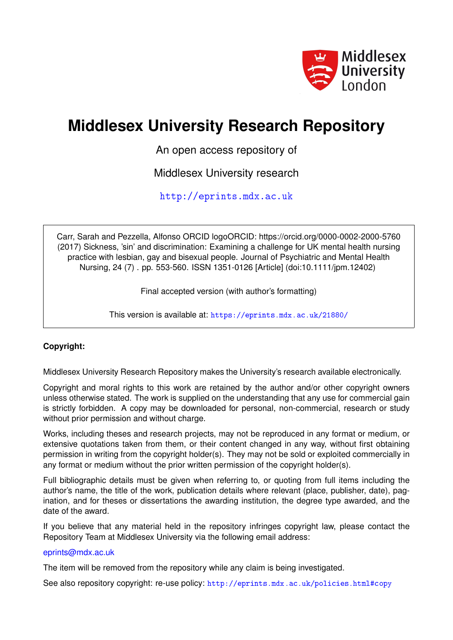

# **Middlesex University Research Repository**

An open access repository of

Middlesex University research

<http://eprints.mdx.ac.uk>

Carr, Sarah and Pezzella, Alfonso ORCID logoORCID: https://orcid.org/0000-0002-2000-5760 (2017) Sickness, 'sin' and discrimination: Examining a challenge for UK mental health nursing practice with lesbian, gay and bisexual people. Journal of Psychiatric and Mental Health Nursing, 24 (7) . pp. 553-560. ISSN 1351-0126 [Article] (doi:10.1111/jpm.12402)

Final accepted version (with author's formatting)

This version is available at: <https://eprints.mdx.ac.uk/21880/>

## **Copyright:**

Middlesex University Research Repository makes the University's research available electronically.

Copyright and moral rights to this work are retained by the author and/or other copyright owners unless otherwise stated. The work is supplied on the understanding that any use for commercial gain is strictly forbidden. A copy may be downloaded for personal, non-commercial, research or study without prior permission and without charge.

Works, including theses and research projects, may not be reproduced in any format or medium, or extensive quotations taken from them, or their content changed in any way, without first obtaining permission in writing from the copyright holder(s). They may not be sold or exploited commercially in any format or medium without the prior written permission of the copyright holder(s).

Full bibliographic details must be given when referring to, or quoting from full items including the author's name, the title of the work, publication details where relevant (place, publisher, date), pagination, and for theses or dissertations the awarding institution, the degree type awarded, and the date of the award.

If you believe that any material held in the repository infringes copyright law, please contact the Repository Team at Middlesex University via the following email address:

### [eprints@mdx.ac.uk](mailto:eprints@mdx.ac.uk)

The item will be removed from the repository while any claim is being investigated.

See also repository copyright: re-use policy: <http://eprints.mdx.ac.uk/policies.html#copy>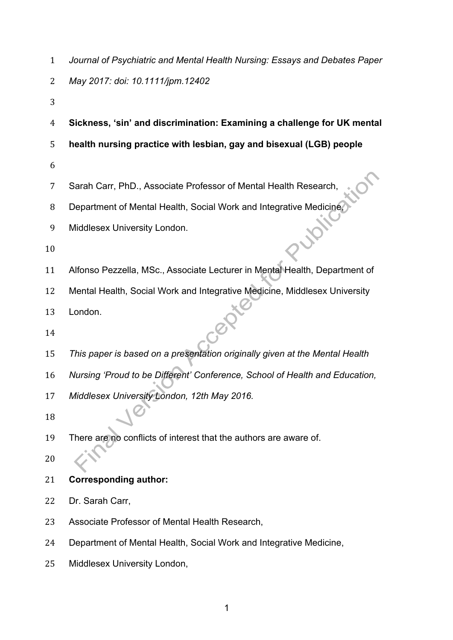|  | Journal of Psychiatric and Mental Health Nursing: Essays and Debates Paper |  |  |  |
|--|----------------------------------------------------------------------------|--|--|--|
|--|----------------------------------------------------------------------------|--|--|--|

- *May 2017: doi: 10.1111/jpm.12402*
- 
- **health nursing practice with lesbian, gay and bisexual (LGB) people**

**Sickness, 'sin' and discrimination: Examining a challenge for UK mental** 

- 
- Sarah Carr, PhD., Associate Professor of Mental Health Research,
- 8 Department of Mental Health, Social Work and Integrative Medicine,
- Middlesex University London.
- 
- Alfonso Pezzella, MSc., Associate Lecturer in Mental Health, Department of
- Mental Health, Social Work and Integrative Medicine, Middlesex University
- London.
- 
- *This paper is based on a presentation originally given at the Mental Health*
- *Nursing 'Proud to be Different' Conference, School of Health and Education,*
- *Middlesex University London, 12th May 2016.*
- 
- There are no conflicts of interest that the authors are aware of.
- **Corresponding author:**
- Dr. Sarah Carr,
- Associate Professor of Mental Health Research,
- Department of Mental Health, Social Work and Integrative Medicine,
- Middlesex University London,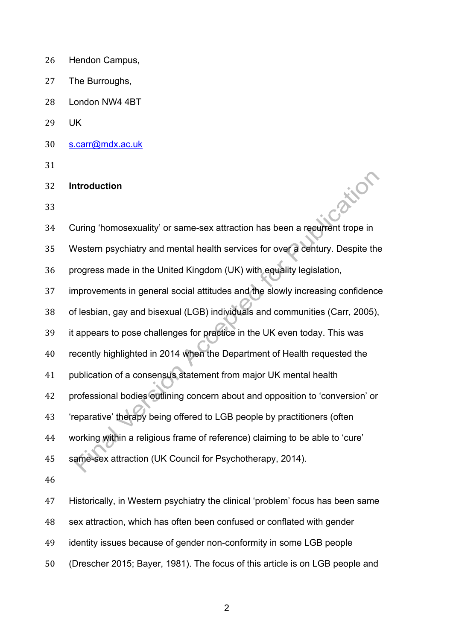- Hendon Campus,
- The Burroughs,
- London NW4 4BT
- UK
- s.carr@mdx.ac.uk
- 

## **Introduction**

| 31 |                                                                                |
|----|--------------------------------------------------------------------------------|
| 32 | <b>Introduction</b>                                                            |
| 33 |                                                                                |
| 34 | Curing 'homosexuality' or same-sex attraction has been a recurrent trope in    |
| 35 | Western psychiatry and mental health services for over a century. Despite the  |
| 36 | progress made in the United Kingdom (UK) with equality legislation,            |
| 37 | improvements in general social attitudes and the slowly increasing confidence  |
| 38 | of lesbian, gay and bisexual (LGB) individuals and communities (Carr, 2005),   |
| 39 | it appears to pose challenges for practice in the UK even today. This was      |
| 40 | recently highlighted in 2014 when the Department of Health requested the       |
| 41 | publication of a consensus statement from major UK mental health               |
| 42 | professional bodies outlining concern about and opposition to 'conversion' or  |
| 43 | 'reparative' therapy being offered to LGB people by practitioners (often       |
| 44 | working within a religious frame of reference) claiming to be able to 'cure'   |
| 45 | same-sex attraction (UK Council for Psychotherapy, 2014).                      |
| 46 |                                                                                |
| 47 | Historically, in Western psychiatry the clinical 'problem' focus has been same |
| 48 | sex attraction, which has often been confused or conflated with gender         |
| 49 | identity issues because of gender non-conformity in some LGB people            |
| 50 | (Drescher 2015; Bayer, 1981). The focus of this article is on LGB people and   |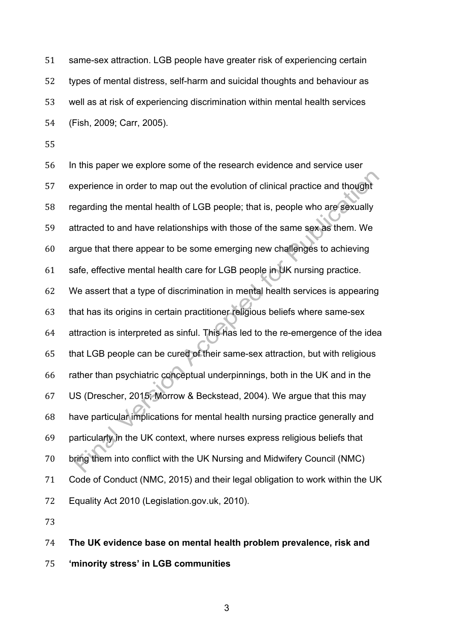same-sex attraction. LGB people have greater risk of experiencing certain types of mental distress, self-harm and suicidal thoughts and behaviour as well as at risk of experiencing discrimination within mental health services (Fish, 2009; Carr, 2005).

 In this paper we explore some of the research evidence and service user experience in order to map out the evolution of clinical practice and thought regarding the mental health of LGB people; that is, people who are sexually attracted to and have relationships with those of the same sex as them. We argue that there appear to be some emerging new challenges to achieving safe, effective mental health care for LGB people in UK nursing practice. We assert that a type of discrimination in mental health services is appearing that has its origins in certain practitioner religious beliefs where same-sex attraction is interpreted as sinful. This has led to the re-emergence of the idea that LGB people can be cured of their same-sex attraction, but with religious rather than psychiatric conceptual underpinnings, both in the UK and in the US (Drescher, 2015; Morrow & Beckstead, 2004). We argue that this may have particular implications for mental health nursing practice generally and particularly in the UK context, where nurses express religious beliefs that bring them into conflict with the UK Nursing and Midwifery Council (NMC) Code of Conduct (NMC, 2015) and their legal obligation to work within the UK Equality Act 2010 (Legislation.gov.uk, 2010).

 **The UK evidence base on mental health problem prevalence, risk and 'minority stress' in LGB communities**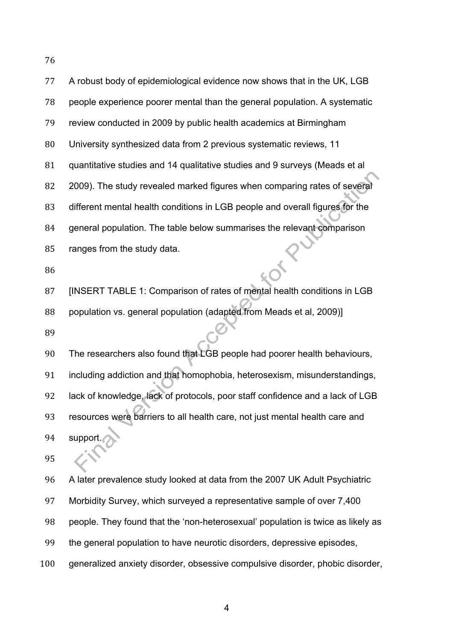| 77  | A robust body of epidemiological evidence now shows that in the UK, LGB         |
|-----|---------------------------------------------------------------------------------|
| 78  | people experience poorer mental than the general population. A systematic       |
| 79  | review conducted in 2009 by public health academics at Birmingham               |
| 80  | University synthesized data from 2 previous systematic reviews, 11              |
| 81  | quantitative studies and 14 qualitative studies and 9 surveys (Meads et al      |
| 82  | 2009). The study revealed marked figures when comparing rates of several        |
| 83  | different mental health conditions in LGB people and overall figures for the    |
| 84  | general population. The table below summarises the relevant comparison          |
| 85  | ranges from the study data.                                                     |
| 86  |                                                                                 |
| 87  | [INSERT TABLE 1: Comparison of rates of mental health conditions in LGB         |
| 88  | population vs. general population (adapted from Meads et al, 2009)]             |
| 89  |                                                                                 |
| 90  | The researchers also found that LGB people had poorer health behaviours,        |
| 91  | including addiction and that homophobia, heterosexism, misunderstandings,       |
| 92  | lack of knowledge, lack of protocols, poor staff confidence and a lack of LGB   |
| 93  | resources were barriers to all health care, not just mental health care and     |
| 94  | support.                                                                        |
| 95  |                                                                                 |
| 96  | A later prevalence study looked at data from the 2007 UK Adult Psychiatric      |
| 97  | Morbidity Survey, which surveyed a representative sample of over 7,400          |
| 98  | people. They found that the 'non-heterosexual' population is twice as likely as |
| 99  | the general population to have neurotic disorders, depressive episodes,         |
| 100 | generalized anxiety disorder, obsessive compulsive disorder, phobic disorder,   |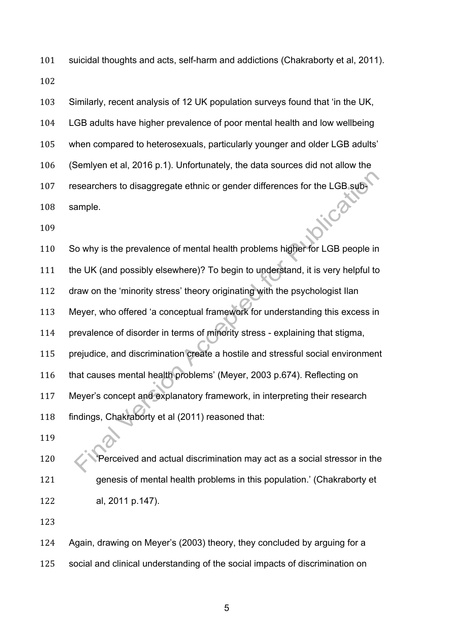suicidal thoughts and acts, self-harm and addictions (Chakraborty et al, 2011). 

 Similarly, recent analysis of 12 UK population surveys found that 'in the UK, LGB adults have higher prevalence of poor mental health and low wellbeing when compared to heterosexuals, particularly younger and older LGB adults' (Semlyen et al, 2016 p.1). Unfortunately, the data sources did not allow the researchers to disaggregate ethnic or gender differences for the LGB subinca sample.

 So why is the prevalence of mental health problems higher for LGB people in the UK (and possibly elsewhere)? To begin to understand, it is very helpful to draw on the 'minority stress' theory originating with the psychologist Ilan Meyer, who offered 'a conceptual framework for understanding this excess in prevalence of disorder in terms of minority stress - explaining that stigma, prejudice, and discrimination create a hostile and stressful social environment that causes mental health problems' (Meyer, 2003 p.674). Reflecting on Meyer's concept and explanatory framework, in interpreting their research findings, Chakraborty et al (2011) reasoned that:

**Perceived and actual discrimination may act as a social stressor in the**  genesis of mental health problems in this population.' (Chakraborty et al, 2011 p.147).

 Again, drawing on Meyer's (2003) theory, they concluded by arguing for a social and clinical understanding of the social impacts of discrimination on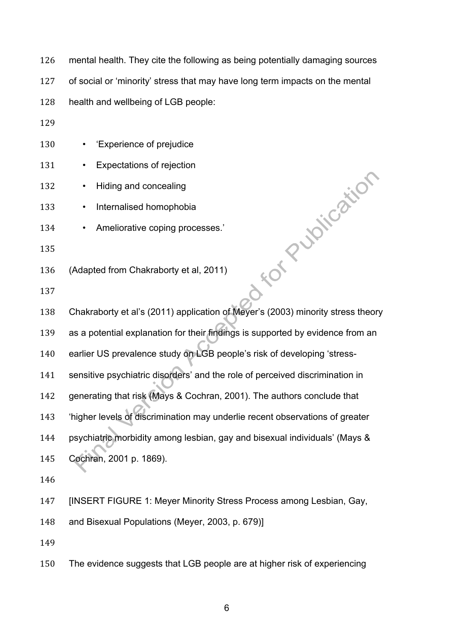mental health. They cite the following as being potentially damaging sources

of social or 'minority' stress that may have long term impacts on the mental

health and wellbeing of LGB people:

- 130 'Experience of prejudice
- 131 Expectations of rejection
- 132 Hiding and concealing
- 133 Internalised homophobia
- 134 Ameliorative coping processes.'
- 

(Adapted from Chakraborty et al, 2011)

 $\begin{pmatrix} 138 \end{pmatrix}$  Calculated from Chakraborty et al. 2011)<br>
138 Chakraborty et al's (2011) application of Meyer's (2003) minority stress theory

as a potential explanation for their findings is supported by evidence from an

earlier US prevalence study on LGB people's risk of developing 'stress-

sensitive psychiatric disorders' and the role of perceived discrimination in

generating that risk (Mays & Cochran, 2001). The authors conclude that

'higher levels of discrimination may underlie recent observations of greater

 psychiatric morbidity among lesbian, gay and bisexual individuals' (Mays & Cochran, 2001 p. 1869).

[INSERT FIGURE 1: Meyer Minority Stress Process among Lesbian, Gay,

and Bisexual Populations (Meyer, 2003, p. 679)]

The evidence suggests that LGB people are at higher risk of experiencing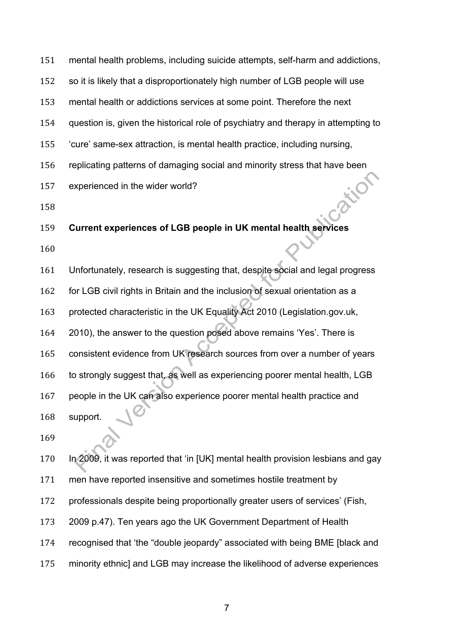mental health problems, including suicide attempts, self-harm and addictions,

so it is likely that a disproportionately high number of LGB people will use

mental health or addictions services at some point. Therefore the next

question is, given the historical role of psychiatry and therapy in attempting to

'cure' same-sex attraction, is mental health practice, including nursing,

156 replicating patterns of damaging social and minority stress that have been<br>157 experienced in the wider world?<br>158

experienced in the wider world?

## **Current experiences of LGB people in UK mental health services**

 Unfortunately, research is suggesting that, despite social and legal progress for LGB civil rights in Britain and the inclusion of sexual orientation as a protected characteristic in the UK Equality Act 2010 (Legislation.gov.uk, 2010), the answer to the question posed above remains 'Yes'. There is consistent evidence from UK research sources from over a number of years 166 to strongly suggest that, as well as experiencing poorer mental health, LGB people in the UK can also experience poorer mental health practice and support.

 In 2009, it was reported that 'in [UK] mental health provision lesbians and gay men have reported insensitive and sometimes hostile treatment by professionals despite being proportionally greater users of services' (Fish, 2009 p.47). Ten years ago the UK Government Department of Health recognised that 'the "double jeopardy" associated with being BME [black and minority ethnic] and LGB may increase the likelihood of adverse experiences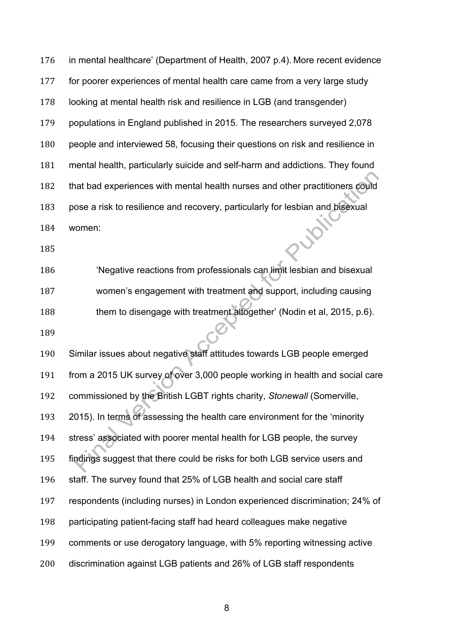in mental healthcare' (Department of Health, 2007 p.4). More recent evidence for poorer experiences of mental health care came from a very large study looking at mental health risk and resilience in LGB (and transgender) populations in England published in 2015. The researchers surveyed 2,078 people and interviewed 58, focusing their questions on risk and resilience in mental health, particularly suicide and self-harm and addictions. They found that bad experiences with mental health nurses and other practitioners could pose a risk to resilience and recovery, particularly for lesbian and bisexual women:

 'Negative reactions from professionals can limit lesbian and bisexual women's engagement with treatment and support, including causing 188 them to disengage with treatment altogether' (Nodin et al, 2015, p.6).

 Similar issues about negative staff attitudes towards LGB people emerged from a 2015 UK survey of over 3,000 people working in health and social care commissioned by the British LGBT rights charity, *Stonewall* (Somerville, 2015). In terms of assessing the health care environment for the 'minority stress' associated with poorer mental health for LGB people, the survey findings suggest that there could be risks for both LGB service users and staff. The survey found that 25% of LGB health and social care staff respondents (including nurses) in London experienced discrimination; 24% of participating patient-facing staff had heard colleagues make negative comments or use derogatory language, with 5% reporting witnessing active discrimination against LGB patients and 26% of LGB staff respondents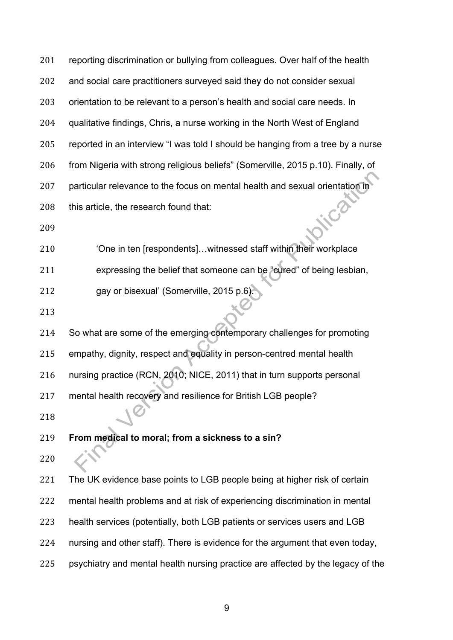201 reporting discrimination or bullying from colleagues. Over half of the health and social care practitioners surveyed said they do not consider sexual orientation to be relevant to a person's health and social care needs. In qualitative findings, Chris, a nurse working in the North West of England reported in an interview "I was told I should be hanging from a tree by a nurse from Nigeria with strong religious beliefs" (Somerville, 2015 p.10). Finally, of particular relevance to the focus on mental health and sexual orientation in  $\cdot$  $\mathcal{O}$ 208 this article, the research found that: 'One in ten [respondents]…witnessed staff within their workplace

expressing the belief that someone can be "cured" of being lesbian,

gay or bisexual' (Somerville, 2015 p.6).

 So what are some of the emerging contemporary challenges for promoting empathy, dignity, respect and equality in person-centred mental health nursing practice (RCN, 2010; NICE, 2011) that in turn supports personal mental health recovery and resilience for British LGB people?

**From medical to moral; from a sickness to a sin?**

221 The UK evidence base points to LGB people being at higher risk of certain

mental health problems and at risk of experiencing discrimination in mental

- health services (potentially, both LGB patients or services users and LGB
- nursing and other staff). There is evidence for the argument that even today,
- psychiatry and mental health nursing practice are affected by the legacy of the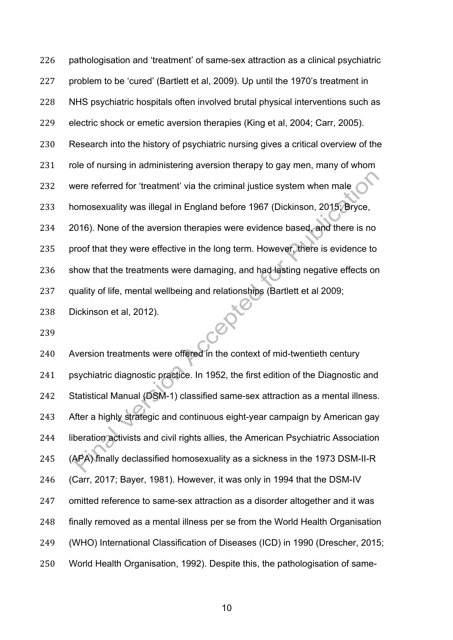pathologisation and 'treatment' of same-sex attraction as a clinical psychiatric problem to be 'cured' (Bartlett et al, 2009). Up until the 1970's treatment in NHS psychiatric hospitals often involved brutal physical interventions such as electric shock or emetic aversion therapies (King et al, 2004; Carr, 2005). Research into the history of psychiatric nursing gives a critical overview of the role of nursing in administering aversion therapy to gay men, many of whom were referred for 'treatment' via the criminal justice system when male homosexuality was illegal in England before 1967 (Dickinson, 2015; Bryce, 2016). None of the aversion therapies were evidence based, and there is no 235 proof that they were effective in the long term. However, there is evidence to show that the treatments were damaging, and had lasting negative effects on quality of life, mental wellbeing and relationships (Bartlett et al 2009; Centre

Dickinson et al, 2012).

 Aversion treatments were offered in the context of mid-twentieth century psychiatric diagnostic practice. In 1952, the first edition of the Diagnostic and Statistical Manual (DSM-1) classified same-sex attraction as a mental illness. After a highly strategic and continuous eight-year campaign by American gay liberation activists and civil rights allies, the American Psychiatric Association (APA) finally declassified homosexuality as a sickness in the 1973 DSM-II-R (Carr, 2017; Bayer, 1981). However, it was only in 1994 that the DSM-IV omitted reference to same-sex attraction as a disorder altogether and it was finally removed as a mental illness per se from the World Health Organisation (WHO) International Classification of Diseases (ICD) in 1990 (Drescher, 2015; World Health Organisation, 1992). Despite this, the pathologisation of same-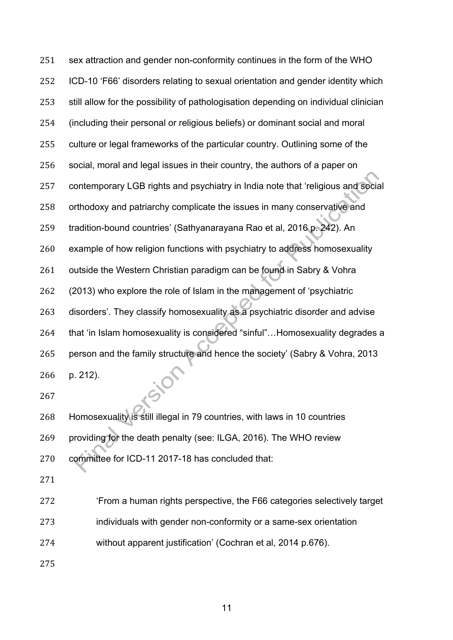sex attraction and gender non-conformity continues in the form of the WHO ICD-10 'F66' disorders relating to sexual orientation and gender identity which still allow for the possibility of pathologisation depending on individual clinician (including their personal or religious beliefs) or dominant social and moral culture or legal frameworks of the particular country. Outlining some of the social, moral and legal issues in their country, the authors of a paper on contemporary LGB rights and psychiatry in India note that 'religious and social orthodoxy and patriarchy complicate the issues in many conservative and tradition-bound countries' (Sathyanarayana Rao et al, 2016 p. 242). An example of how religion functions with psychiatry to address homosexuality outside the Western Christian paradigm can be found in Sabry & Vohra (2013) who explore the role of Islam in the management of 'psychiatric disorders'. They classify homosexuality as a psychiatric disorder and advise that 'in Islam homosexuality is considered "sinful"…Homosexuality degrades a person and the family structure and hence the society' (Sabry & Vohra, 2013 p. 212).

 Homosexuality is still illegal in 79 countries, with laws in 10 countries providing for the death penalty (see: ILGA, 2016). The WHO review committee for ICD-11 2017-18 has concluded that:

'From a human rights perspective, the F66 categories selectively target

individuals with gender non-conformity or a same-sex orientation

without apparent justification' (Cochran et al, 2014 p.676).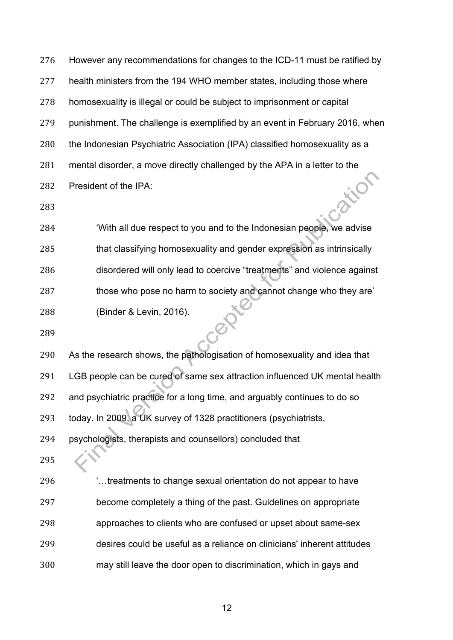However any recommendations for changes to the ICD-11 must be ratified by health ministers from the 194 WHO member states, including those where homosexuality is illegal or could be subject to imprisonment or capital punishment. The challenge is exemplified by an event in February 2016, when the Indonesian Psychiatric Association (IPA) classified homosexuality as a 281 mental disorder, a move directly challenged by the APA in a letter to the<br>282 President of the IPA:<br>283 President of the IPA:

 'With all due respect to you and to the Indonesian people, we advise that classifying homosexuality and gender expression as intrinsically disordered will only lead to coercive "treatments" and violence against 287 those who pose no harm to society and cannot change who they are' (Binder & Levin, 2016).

 As the research shows, the pathologisation of homosexuality and idea that LGB people can be cured of same sex attraction influenced UK mental health and psychiatric practice for a long time, and arguably continues to do so today. In 2009, a UK survey of 1328 practitioners (psychiatrists, psychologists, therapists and counsellors) concluded that

 '…treatments to change sexual orientation do not appear to have become completely a thing of the past. Guidelines on appropriate approaches to clients who are confused or upset about same-sex desires could be useful as a reliance on clinicians' inherent attitudes may still leave the door open to discrimination, which in gays and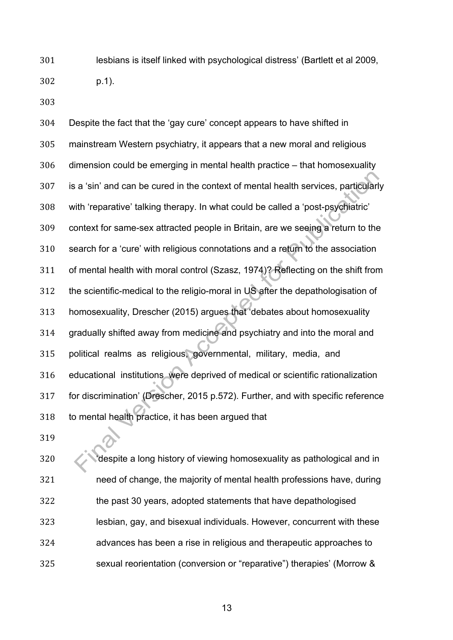lesbians is itself linked with psychological distress' (Bartlett et al 2009, p.1).

 Despite the fact that the 'gay cure' concept appears to have shifted in mainstream Western psychiatry, it appears that a new moral and religious dimension could be emerging in mental health practice – that homosexuality is a 'sin' and can be cured in the context of mental health services, particularly with 'reparative' talking therapy. In what could be called a 'post-psychiatric' context for same-sex attracted people in Britain, are we seeing a return to the search for a 'cure' with religious connotations and a return to the association of mental health with moral control (Szasz, 1974)? Reflecting on the shift from the scientific-medical to the religio-moral in US after the depathologisation of homosexuality, Drescher (2015) argues that 'debates about homosexuality gradually shifted away from medicine and psychiatry and into the moral and political realms as religious, governmental, military, media, and educational institutions were deprived of medical or scientific rationalization for discrimination' (Drescher, 2015 p.572). Further, and with specific reference to mental health practice, it has been argued that

 'despite a long history of viewing homosexuality as pathological and in need of change, the majority of mental health professions have, during the past 30 years, adopted statements that have depathologised lesbian, gay, and bisexual individuals. However, concurrent with these advances has been a rise in religious and therapeutic approaches to sexual reorientation (conversion or "reparative") therapies' (Morrow &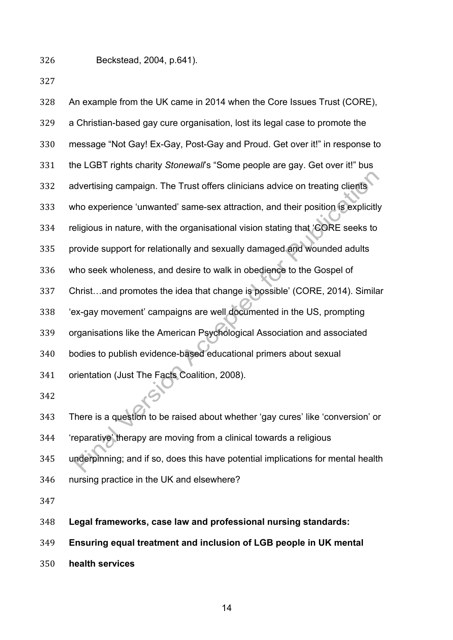Beckstead, 2004, p.641).

| 328 | An example from the UK came in 2014 when the Core Issues Trust (CORE),           |
|-----|----------------------------------------------------------------------------------|
| 329 | a Christian-based gay cure organisation, lost its legal case to promote the      |
| 330 | message "Not Gay! Ex-Gay, Post-Gay and Proud. Get over it!" in response to       |
| 331 | the LGBT rights charity Stonewall's "Some people are gay. Get over it!" bus      |
| 332 | advertising campaign. The Trust offers clinicians advice on treating clients     |
| 333 | who experience 'unwanted' same-sex attraction, and their position is explicitly  |
| 334 | religious in nature, with the organisational vision stating that 'CORE seeks to  |
| 335 | provide support for relationally and sexually damaged and wounded adults         |
| 336 | who seek wholeness, and desire to walk in obedience to the Gospel of             |
| 337 | Christand promotes the idea that change is possible' (CORE, 2014). Similar       |
| 338 | 'ex-gay movement' campaigns are well documented in the US, prompting             |
| 339 | organisations like the American Psychological Association and associated         |
| 340 | bodies to publish evidence-based educational primers about sexual                |
| 341 | orientation (Just The Facts Coalition, 2008).                                    |
| 342 |                                                                                  |
| 343 | There is a question to be raised about whether 'gay cures' like 'conversion' or  |
| 344 | 'reparative' therapy are moving from a clinical towards a religious              |
| 345 | underpinning; and if so, does this have potential implications for mental health |
| 346 | nursing practice in the UK and elsewhere?                                        |
| 347 |                                                                                  |
| 348 | Legal frameworks, case law and professional nursing standards:                   |

**Ensuring equal treatment and inclusion of LGB people in UK mental** 

**health services**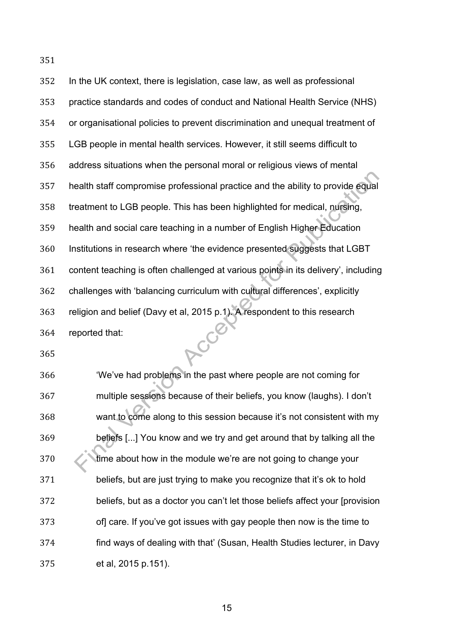| In the UK context, there is legislation, case law, as well as professional         |
|------------------------------------------------------------------------------------|
| practice standards and codes of conduct and National Health Service (NHS)          |
| or organisational policies to prevent discrimination and unequal treatment of      |
| LGB people in mental health services. However, it still seems difficult to         |
| address situations when the personal moral or religious views of mental            |
| health staff compromise professional practice and the ability to provide equal     |
| treatment to LGB people. This has been highlighted for medical, nursing,           |
| health and social care teaching in a number of English Higher Education            |
| Institutions in research where 'the evidence presented suggests that LGBT          |
| content teaching is often challenged at various points in its delivery', including |
| challenges with 'balancing curriculum with cultural differences', explicitly       |
| religion and belief (Davy et al, 2015 p.1). A respondent to this research          |
| reported that:                                                                     |
|                                                                                    |

 'We've had problems in the past where people are not coming for multiple sessions because of their beliefs, you know (laughs). I don't want to come along to this session because it's not consistent with my beliefs [...] You know and we try and get around that by talking all the **time about how in the module we're are not going to change your**  beliefs, but are just trying to make you recognize that it's ok to hold beliefs, but as a doctor you can't let those beliefs affect your [provision of] care. If you've got issues with gay people then now is the time to find ways of dealing with that' (Susan, Health Studies lecturer, in Davy et al, 2015 p.151).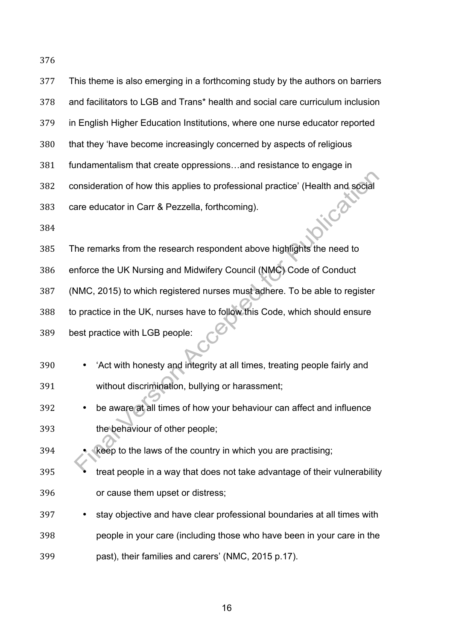| 377 | This theme is also emerging in a forthcoming study by the authors on barriers  |
|-----|--------------------------------------------------------------------------------|
| 378 | and facilitators to LGB and Trans* health and social care curriculum inclusion |
| 379 | in English Higher Education Institutions, where one nurse educator reported    |
| 380 | that they 'have become increasingly concerned by aspects of religious          |
| 381 | fundamentalism that create oppressionsand resistance to engage in              |
| 382 | consideration of how this applies to professional practice' (Health and social |
| 383 | care educator in Carr & Pezzella, forthcoming).                                |
| 384 |                                                                                |
| 385 | The remarks from the research respondent above highlights the need to          |
| 386 | enforce the UK Nursing and Midwifery Council (NMC) Code of Conduct             |
| 387 | (NMC, 2015) to which registered nurses must adhere. To be able to register     |
| 388 | to practice in the UK, nurses have to follow this Code, which should ensure    |
| 389 | best practice with LGB people:                                                 |
|     |                                                                                |
| 390 | 'Act with honesty and integrity at all times, treating people fairly and       |
| 391 | without discrimination, bullying or harassment;                                |
| 392 | be aware at all times of how your behaviour can affect and influence           |
| 393 | the behaviour of other people;                                                 |
| 394 | keep to the laws of the country in which you are practising;                   |
| 395 | treat people in a way that does not take advantage of their vulnerability      |
| 396 | or cause them upset or distress;                                               |
| 397 | stay objective and have clear professional boundaries at all times with        |
| 398 | people in your care (including those who have been in your care in the         |
| 399 | past), their families and carers' (NMC, 2015 p.17).                            |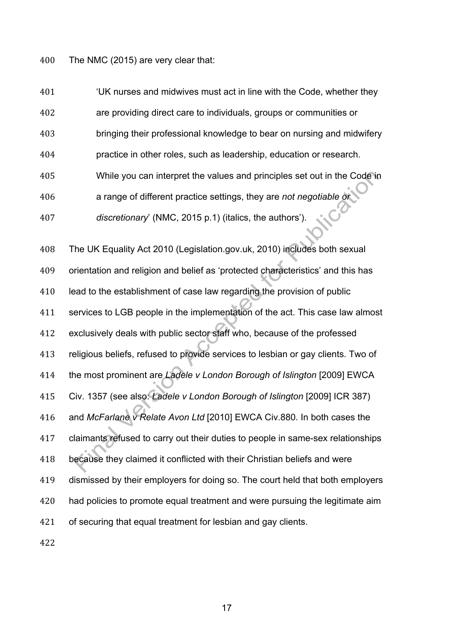The NMC (2015) are very clear that:

 'UK nurses and midwives must act in line with the Code, whether they are providing direct care to individuals, groups or communities or bringing their professional knowledge to bear on nursing and midwifery practice in other roles, such as leadership, education or research. While you can interpret the values and principles set out in the Code in a range of different practice settings, they are *not negotiable or discretionary*' (NMC, 2015 p.1) (italics, the authors').

 The UK Equality Act 2010 (Legislation.gov.uk, 2010) includes both sexual orientation and religion and belief as 'protected characteristics' and this has 410 lead to the establishment of case law regarding the provision of public services to LGB people in the implementation of the act. This case law almost exclusively deals with public sector staff who, because of the professed religious beliefs, refused to provide services to lesbian or gay clients. Two of the most prominent are *Ladele v London Borough of Islington* [2009] EWCA Civ. 1357 (see also: *Ladele v London Borough of Islington* [2009] ICR 387) and *McFarlane v Relate Avon Ltd* [2010] EWCA Civ.880*.* In both cases the claimants refused to carry out their duties to people in same-sex relationships because they claimed it conflicted with their Christian beliefs and were dismissed by their employers for doing so. The court held that both employers had policies to promote equal treatment and were pursuing the legitimate aim of securing that equal treatment for lesbian and gay clients.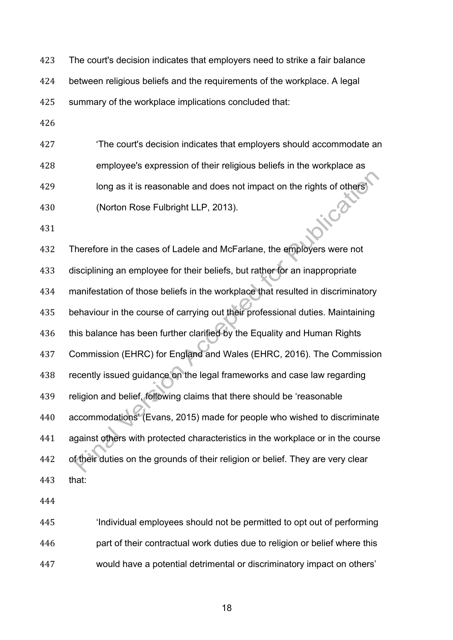The court's decision indicates that employers need to strike a fair balance

between religious beliefs and the requirements of the workplace. A legal

summary of the workplace implications concluded that:

 'The court's decision indicates that employers should accommodate an employee's expression of their religious beliefs in the workplace as long as it is reasonable and does not impact on the rights of others'  $\mathcal{C}^{\delta}$ (Norton Rose Fulbright LLP, 2013).

 Therefore in the cases of Ladele and McFarlane, the employers were not disciplining an employee for their beliefs, but rather for an inappropriate manifestation of those beliefs in the workplace that resulted in discriminatory behaviour in the course of carrying out their professional duties. Maintaining this balance has been further clarified by the Equality and Human Rights Commission (EHRC) for England and Wales (EHRC, 2016). The Commission recently issued guidance on the legal frameworks and case law regarding religion and belief, following claims that there should be 'reasonable accommodations' (Evans, 2015) made for people who wished to discriminate against others with protected characteristics in the workplace or in the course of their duties on the grounds of their religion or belief. They are very clear that:

 'Individual employees should not be permitted to opt out of performing part of their contractual work duties due to religion or belief where this would have a potential detrimental or discriminatory impact on others'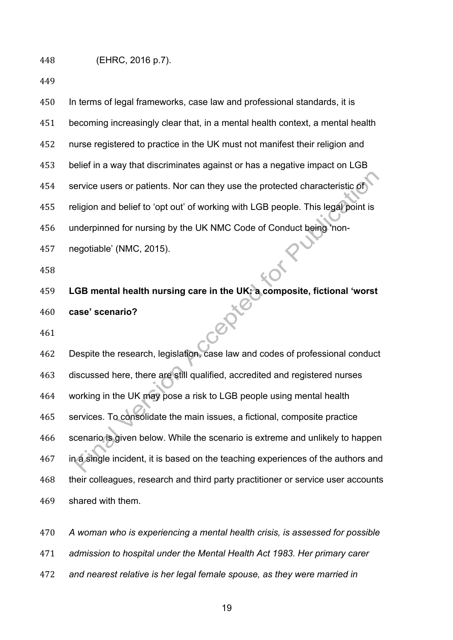| 450 | In terms of legal frameworks, case law and professional standards, it is         |
|-----|----------------------------------------------------------------------------------|
| 451 | becoming increasingly clear that, in a mental health context, a mental health    |
| 452 | nurse registered to practice in the UK must not manifest their religion and      |
| 453 | belief in a way that discriminates against or has a negative impact on LGB       |
| 454 | service users or patients. Nor can they use the protected characteristic of      |
| 455 | religion and belief to 'opt out' of working with LGB people. This legal point is |
| 456 | underpinned for nursing by the UK NMC Code of Conduct being 'non-                |
| 457 | negotiable' (NMC, 2015).                                                         |
| 458 |                                                                                  |
| 459 | LGB mental health nursing care in the UK: a composite, fictional 'worst          |
| 460 | case' scenario?                                                                  |
| 461 |                                                                                  |
| 462 | Despite the research, legislation, case law and codes of professional conduct    |
| 463 | discussed here, there are still qualified, accredited and registered nurses      |
| 464 | working in the UK may pose a risk to LGB people using mental health              |
| 465 | services. To consolidate the main issues, a fictional, composite practice        |
| 466 | scenario is given below. While the scenario is extreme and unlikely to happen    |
| 467 | in a single incident, it is based on the teaching experiences of the authors and |
| 468 | their colleagues, research and third party practitioner or service user accounts |
| 469 | shared with them.                                                                |
| 470 | A woman who is experiencing a mental health crisis, is assessed for possible     |

*admission to hospital under the Mental Health Act 1983. Her primary carer* 

*and nearest relative is her legal female spouse, as they were married in*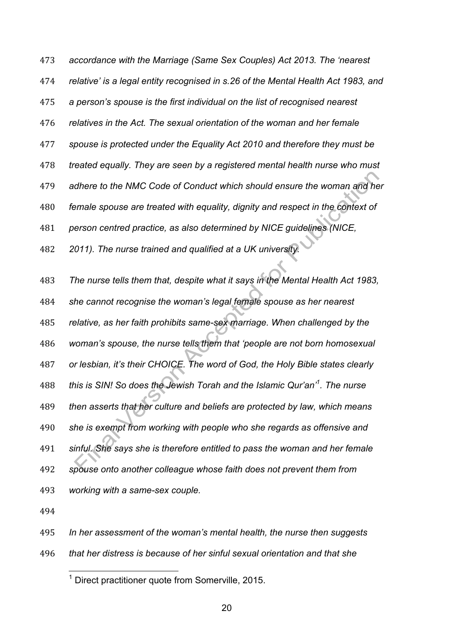*accordance with the Marriage (Same Sex Couples) Act 2013. The 'nearest relative' is a legal entity recognised in s.26 of the Mental Health Act 1983, and a person's spouse is the first individual on the list of recognised nearest relatives in the Act. The sexual orientation of the woman and her female spouse is protected under the Equality Act 2010 and therefore they must be treated equally. They are seen by a registered mental health nurse who must adhere to the NMC Code of Conduct which should ensure the woman and her female spouse are treated with equality, dignity and respect in the context of person centred practice, as also determined by NICE guidelines (NICE, 2011). The nurse trained and qualified at a UK university. The nurse tells them that, despite what it says in the Mental Health Act 1983,* 

 *she cannot recognise the woman's legal female spouse as her nearest relative, as her faith prohibits same-sex marriage. When challenged by the woman's spouse, the nurse tells them that 'people are not born homosexual or lesbian, it's their CHOICE. The word of God, the Holy Bible states clearly this is SIN! So does the Jewish Torah and the Islamic Qur'an'1 . The nurse then asserts that her culture and beliefs are protected by law, which means she is exempt from working with people who she regards as offensive and sinful. She says she is therefore entitled to pass the woman and her female spouse onto another colleague whose faith does not prevent them from working with a same-sex couple.* 

*In her assessment of the woman's mental health, the nurse then suggests* 

*that her distress is because of her sinful sexual orientation and that she* 

Direct practitioner quote from Somerville, 2015.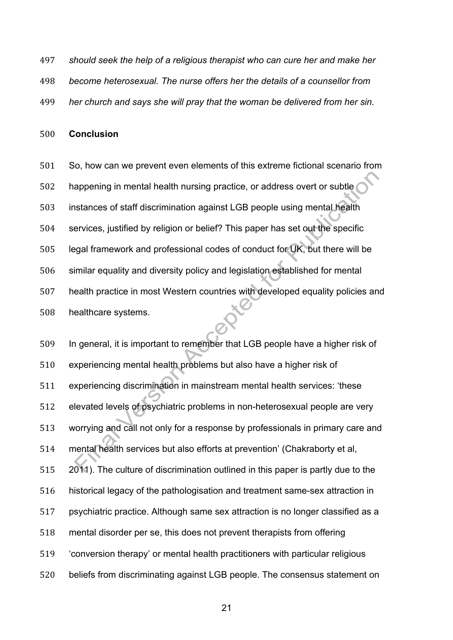- *should seek the help of a religious therapist who can cure her and make her*
- *become heterosexual. The nurse offers her the details of a counsellor from*
- *her church and says she will pray that the woman be delivered from her sin.*

#### **Conclusion**

 So, how can we prevent even elements of this extreme fictional scenario from happening in mental health nursing practice, or address overt or subtle instances of staff discrimination against LGB people using mental health services, justified by religion or belief? This paper has set out the specific legal framework and professional codes of conduct for UK, but there will be similar equality and diversity policy and legislation established for mental health practice in most Western countries with developed equality policies and healthcare systems.

 In general, it is important to remember that LGB people have a higher risk of experiencing mental health problems but also have a higher risk of experiencing discrimination in mainstream mental health services: 'these elevated levels of psychiatric problems in non-heterosexual people are very worrying and call not only for a response by professionals in primary care and mental health services but also efforts at prevention' (Chakraborty et al, 2011). The culture of discrimination outlined in this paper is partly due to the historical legacy of the pathologisation and treatment same-sex attraction in psychiatric practice. Although same sex attraction is no longer classified as a mental disorder per se, this does not prevent therapists from offering 'conversion therapy' or mental health practitioners with particular religious beliefs from discriminating against LGB people. The consensus statement on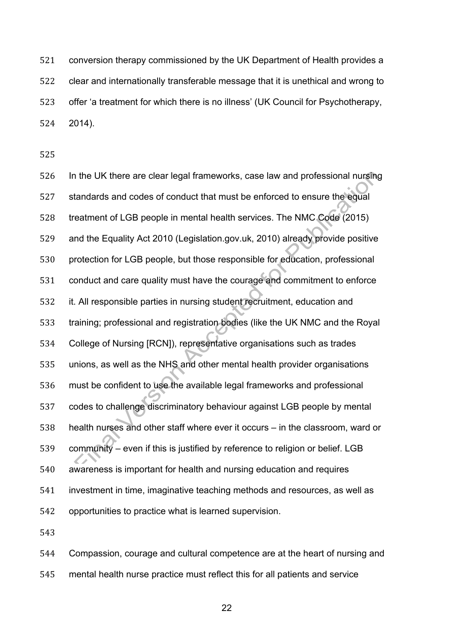conversion therapy commissioned by the UK Department of Health provides a clear and internationally transferable message that it is unethical and wrong to offer 'a treatment for which there is no illness' (UK Council for Psychotherapy, 2014).

 In the UK there are clear legal frameworks, case law and professional nursing standards and codes of conduct that must be enforced to ensure the equal treatment of LGB people in mental health services. The NMC Code (2015) and the Equality Act 2010 (Legislation.gov.uk, 2010) already provide positive protection for LGB people, but those responsible for education, professional conduct and care quality must have the courage and commitment to enforce it. All responsible parties in nursing student recruitment, education and training; professional and registration bodies (like the UK NMC and the Royal College of Nursing [RCN]), representative organisations such as trades unions, as well as the NHS and other mental health provider organisations must be confident to use the available legal frameworks and professional codes to challenge discriminatory behaviour against LGB people by mental health nurses and other staff where ever it occurs – in the classroom, ward or community – even if this is justified by reference to religion or belief. LGB awareness is important for health and nursing education and requires investment in time, imaginative teaching methods and resources, as well as opportunities to practice what is learned supervision.

 Compassion, courage and cultural competence are at the heart of nursing and mental health nurse practice must reflect this for all patients and service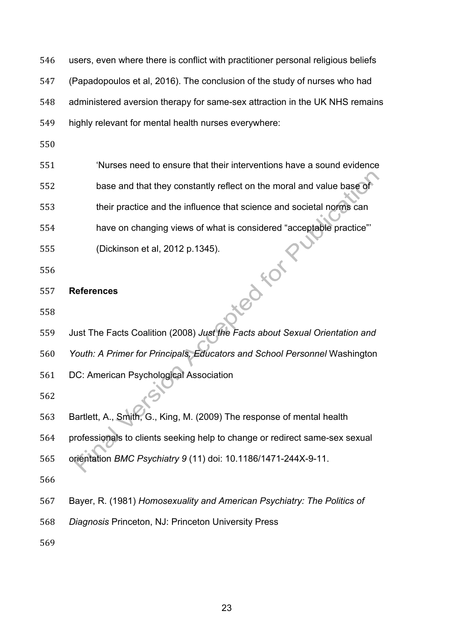users, even where there is conflict with practitioner personal religious beliefs (Papadopoulos et al, 2016). The conclusion of the study of nurses who had administered aversion therapy for same-sex attraction in the UK NHS remains highly relevant for mental health nurses everywhere:

 'Nurses need to ensure that their interventions have a sound evidence base and that they constantly reflect on the moral and value base of their practice and the influence that science and societal norms can have on changing views of what is considered "acceptable practice"' oted Form (Dickinson et al, 2012 p.1345).

**References**

Just The Facts Coalition (2008) *Just the Facts about Sexual Orientation and* 

*Youth: A Primer for Principals, Educators and School Personnel* Washington

DC: American Psychological Association

Bartlett, A., Smith, G., King, M. (2009) The response of mental health

professionals to clients seeking help to change or redirect same-sex sexual

orientation *BMC Psychiatry 9* (11) doi: 10.1186/1471-244X-9-11.

Bayer, R. (1981) *Homosexuality and American Psychiatry: The Politics of* 

*Diagnosis* Princeton, NJ: Princeton University Press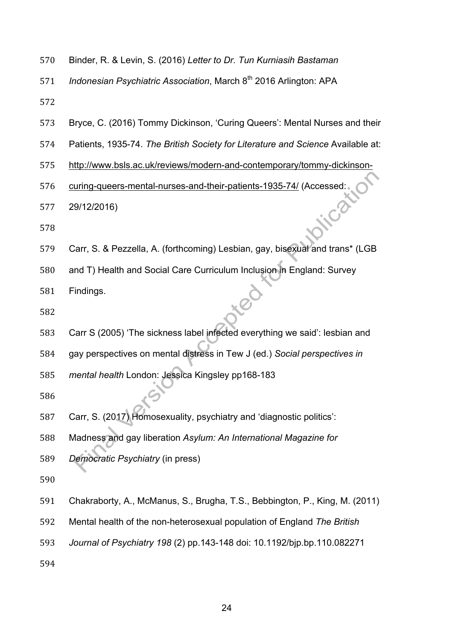- Binder, R. & Levin, S. (2016) *Letter to Dr. Tun Kurniasih Bastaman*
- *Indonesian Psychiatric Association*, March 8th 2016 Arlington: APA
- 
- Bryce, C. (2016) Tommy Dickinson, 'Curing Queers': Mental Nurses and their
- Patients, 1935-74. *The British Society for Literature and Science* Available at:
- http://www.bsls.ac.uk/reviews/modern-and-contemporary/tommy-dickinson-
- 576 curing-queers-mental-nurses-and-their-patients-1935-74/ (Accessed:<br>577 29/12/2016)<br>578
- 29/12/2016)
- 
- Carr, S. & Pezzella, A. (forthcoming) Lesbian, gay, bisexual and trans\* (LGB
- and T) Health and Social Care Curriculum Inclusion in England: Survey
- Findings.
- 
- Carr S (2005) 'The sickness label infected everything we said': lesbian and
- gay perspectives on mental distress in Tew J (ed.) *Social perspectives in*
- *mental health* London: Jessica Kingsley pp168-183
- 
- Carr, S. (2017) Homosexuality, psychiatry and 'diagnostic politics':
- Madness and gay liberation *Asylum: An International Magazine for*
- *Democratic Psychiatry* (in press)
- 
- Chakraborty, A., McManus, S., Brugha, T.S., Bebbington, P., King, M. (2011)
- Mental health of the non-heterosexual population of England *The British*
- *Journal of Psychiatry 198* (2) pp.143-148 doi: 10.1192/bjp.bp.110.082271
-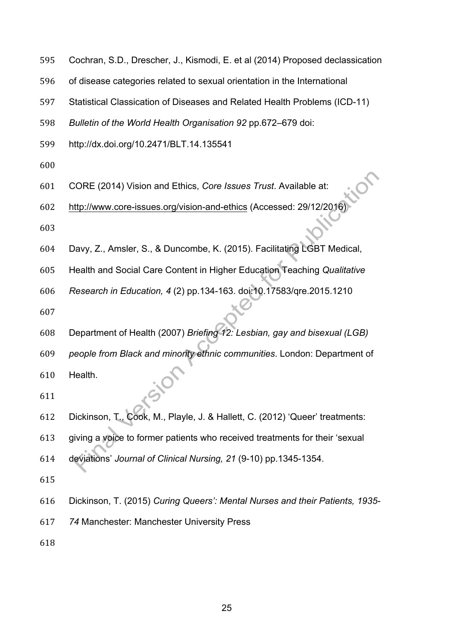- Cochran, S.D., Drescher, J., Kismodi, E. et al (2014) Proposed declassication
- of disease categories related to sexual orientation in the International
- Statistical Classication of Diseases and Related Health Problems (ICD-11)
- *Bulletin of the World Health Organisation 92* pp.672–679 doi:
- http://dx.doi.org/10.2471/BLT.14.135541
- 
- CORE (2014) Vision and Ethics, *Core Issues Trust*. Available at:
- http://www.core-issues.org/vision-and-ethics (Accessed: 29/12/2016)
- 
- Davy, Z., Amsler, S., & Duncombe, K. (2015). Facilitating LGBT Medical,
- Health and Social Care Content in Higher Education Teaching *Qualitative*
- *Research in Education, 4* (2) pp.134-163. doi:10.17583/qre.2015.1210
- 
- Department of Health (2007) *Briefing 12: Lesbian, gay and bisexual (LGB)*
- *people from Black and minority ethnic communities*. London: Department of
- Health.
- 
- Dickinson, T., Cook, M., Playle, J. & Hallett, C. (2012) 'Queer' treatments:
- giving a voice to former patients who received treatments for their 'sexual
- deviations' *Journal of Clinical Nursing, 21* (9-10) pp.1345-1354.
- 
- Dickinson, T. (2015) *Curing Queers': Mental Nurses and their Patients, 1935-*
- *74* Manchester: Manchester University Press
-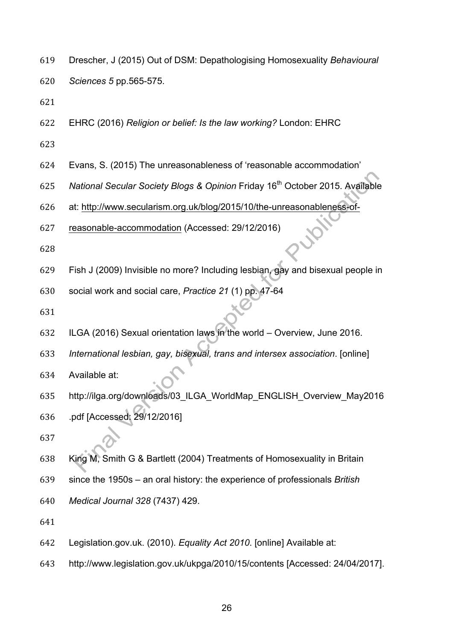- Drescher, J (2015) Out of DSM: Depathologising Homosexuality *Behavioural*
- *Sciences 5* pp.565-575.
- 
- EHRC (2016) *Religion or belief: Is the law working?* London: EHRC
- 
- Evans, S. (2015) The unreasonableness of 'reasonable accommodation'
- 625 National Secular Society Blogs & Opinion Friday 16<sup>th</sup> October 2015. Available
- at: http://www.secularism.org.uk/blog/2015/10/the-unreasonableness-of-
- reasonable-accommodation (Accessed: 29/12/2016)
- 
- Fish J (2009) Invisible no more? Including lesbian, gay and bisexual people in
- social work and social care, *Practice 21* (1) pp. 47-64
- 
- ILGA (2016) Sexual orientation laws in the world Overview, June 2016.
- *International lesbian, gay, bisexual, trans and intersex association*. [online]
- Available at:
- http://ilga.org/downloads/03\_ILGA\_WorldMap\_ENGLISH\_Overview\_May2016
- .pdf [Accessed: 29/12/2016]
- 
- King M, Smith G & Bartlett (2004) Treatments of Homosexuality in Britain
- since the 1950s an oral history: the experience of professionals *British*
- *Medical Journal 328* (7437) 429.
- 
- Legislation.gov.uk. (2010). *Equality Act 2010*. [online] Available at:
- http://www.legislation.gov.uk/ukpga/2010/15/contents [Accessed: 24/04/2017].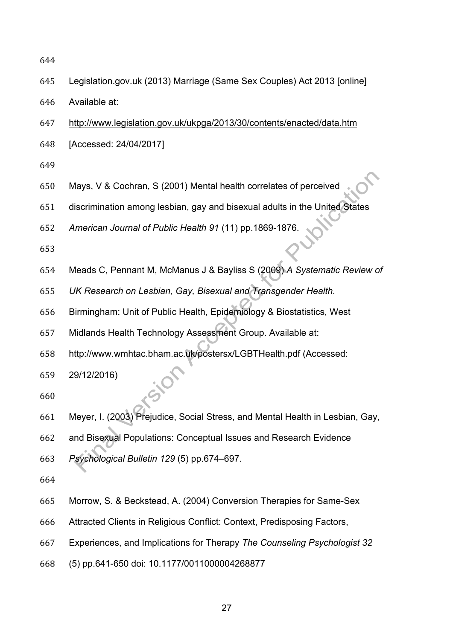- Legislation.gov.uk (2013) Marriage (Same Sex Couples) Act 2013 [online]
- Available at:
- http://www.legislation.gov.uk/ukpga/2013/30/contents/enacted/data.htm
- [Accessed: 24/04/2017]
- 
- Mays, V & Cochran, S (2001) Mental health correlates of perceived
- discrimination among lesbian, gay and bisexual adults in the United States
- *American Journal of Public Health 91* (11) pp.1869-1876.
- 
- Meads C, Pennant M, McManus J & Bayliss S (2009) *A Systematic Review of*
- *UK Research on Lesbian, Gay, Bisexual and Transgender Health.*
- Birmingham: Unit of Public Health, Epidemiology & Biostatistics, West
- Midlands Health Technology Assessment Group. Available at:
- http://www.wmhtac.bham.ac.uk/postersx/LGBTHealth.pdf (Accessed:
- 29/12/2016)
- 
- Meyer, I. (2003) Prejudice, Social Stress, and Mental Health in Lesbian, Gay,
- and Bisexual Populations: Conceptual Issues and Research Evidence
- *Psychological Bulletin 129* (5) pp.674–697.
- 
- Morrow, S. & Beckstead, A. (2004) Conversion Therapies for Same-Sex
- Attracted Clients in Religious Conflict: Context, Predisposing Factors,
- Experiences, and Implications for Therapy *The Counseling Psychologist 32*
- (5) pp.641-650 doi: 10.1177/0011000004268877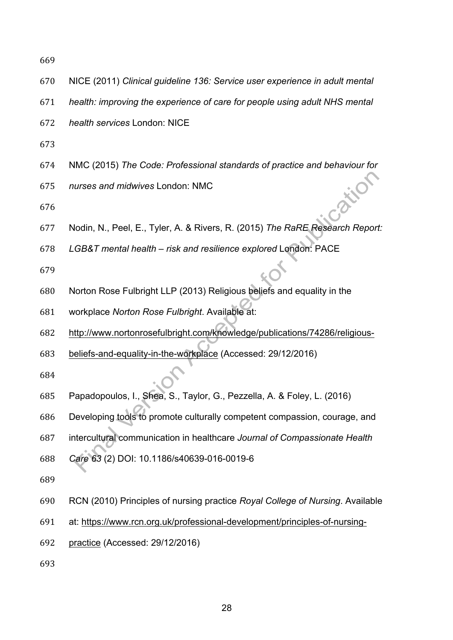- NICE (2011) *Clinical guideline 136: Service user experience in adult mental*
- *health: improving the experience of care for people using adult NHS mental*
- *health services* London: NICE
- 
- NMC (2015) *The Code: Professional standards of practice and behaviour for*
- *nurses and midwives* London: NMC

- Nodin, N., Peel, E., Tyler, A. & Rivers, R. (2015) *The RaRE Research Report:*
- *LGB&T mental health – risk and resilience explored* London: PACE
- 
- Norton Rose Fulbright LLP (2013) Religious beliefs and equality in the
- workplace *Norton Rose Fulbright*. Available at:
- http://www.nortonrosefulbright.com/knowledge/publications/74286/religious-
- beliefs-and-equality-in-the-workplace (Accessed: 29/12/2016)
- 
- Papadopoulos, I., Shea, S., Taylor, G., Pezzella, A. & Foley, L. (2016)
- Developing tools to promote culturally competent compassion, courage, and
- intercultural communication in healthcare *Journal of Compassionate Health*
- *Care 63* (2) DOI: 10.1186/s40639-016-0019-6
- 
- RCN (2010) Principles of nursing practice *Royal College of Nursing*. Available
- at: https://www.rcn.org.uk/professional-development/principles-of-nursing-
- practice (Accessed: 29/12/2016)
-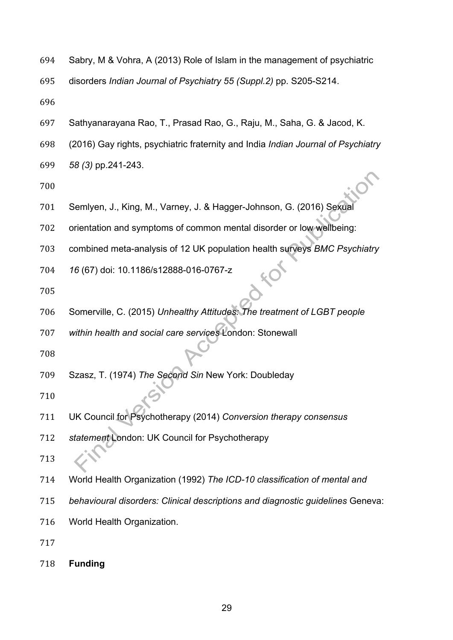Sabry, M & Vohra, A (2013) Role of Islam in the management of psychiatric

disorders *Indian Journal of Psychiatry 55 (Suppl.2)* pp. S205-S214.

- 
- Sathyanarayana Rao, T., Prasad Rao, G., Raju, M., Saha, G. & Jacod, K.
- (2016) Gay rights, psychiatric fraternity and India *Indian Journal of Psychiatry*
- *58 (3)* pp.241-243.
- 
- Semlyen, J., King, M., Varney, J. & Hagger-Johnson, G. (2016) Sexual
- orientation and symptoms of common mental disorder or low wellbeing:
- combined meta-analysis of 12 UK population health surveys *BMC Psychiatry*
- *16* (67) doi: 10.1186/s12888-016-0767-z
- 
- Somerville, C. (2015) *Unhealthy Attitudes: The treatment of LGBT people*

*within health and social care services* London: Stonewall

- 
- Szasz, T. (1974) *The Second Sin* New York: Doubleday
- 
- UK Council for Psychotherapy (2014) *Conversion therapy consensus*
- *statement* London: UK Council for Psychotherapy
- 
- World Health Organization (1992) *The ICD-10 classification of mental and*
- *behavioural disorders: Clinical descriptions and diagnostic guidelines* Geneva:
- World Health Organization.
- 
- **Funding**